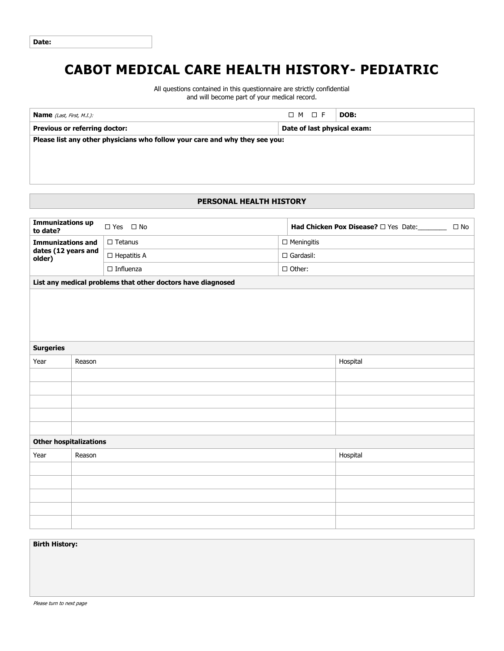# **CABOT MEDICAL CARE HEALTH HISTORY- PEDIATRIC**

All questions contained in this questionnaire are strictly confidential and will become part of your medical record.

| <b>Name</b> (Last, First, M.I.):                                            | $\Box$ M $\Box$ F           | DOB: |  |  |  |  |  |
|-----------------------------------------------------------------------------|-----------------------------|------|--|--|--|--|--|
| <b>Previous or referring doctor:</b>                                        | Date of last physical exam: |      |  |  |  |  |  |
| Please list any other physicians who follow your care and why they see you: |                             |      |  |  |  |  |  |
|                                                                             |                             |      |  |  |  |  |  |
|                                                                             |                             |      |  |  |  |  |  |
|                                                                             |                             |      |  |  |  |  |  |

## **PERSONAL HEALTH HISTORY**

| <b>Immunizations up</b>                                   |        | □ Yes □ No                                                  |  |                   |          | $\square$ No |
|-----------------------------------------------------------|--------|-------------------------------------------------------------|--|-------------------|----------|--------------|
| to date?                                                  |        |                                                             |  |                   |          |              |
| <b>Immunizations and</b><br>dates (12 years and<br>older) |        | $\Box$ Tetanus                                              |  | $\Box$ Meningitis |          |              |
|                                                           |        | $\Box$ Gardasil:<br>$\Box$ Hepatitis A                      |  |                   |          |              |
|                                                           |        | $\Box$ Influenza                                            |  | $\Box$ Other:     |          |              |
|                                                           |        | List any medical problems that other doctors have diagnosed |  |                   |          |              |
|                                                           |        |                                                             |  |                   |          |              |
|                                                           |        |                                                             |  |                   |          |              |
|                                                           |        |                                                             |  |                   |          |              |
|                                                           |        |                                                             |  |                   |          |              |
|                                                           |        |                                                             |  |                   |          |              |
| <b>Surgeries</b>                                          |        |                                                             |  |                   |          |              |
| Year                                                      | Reason |                                                             |  |                   | Hospital |              |
|                                                           |        |                                                             |  |                   |          |              |
|                                                           |        |                                                             |  |                   |          |              |
|                                                           |        |                                                             |  |                   |          |              |
|                                                           |        |                                                             |  |                   |          |              |
|                                                           |        |                                                             |  |                   |          |              |
| <b>Other hospitalizations</b>                             |        |                                                             |  |                   |          |              |
| Year                                                      | Reason |                                                             |  |                   | Hospital |              |
|                                                           |        |                                                             |  |                   |          |              |
|                                                           |        |                                                             |  |                   |          |              |
|                                                           |        |                                                             |  |                   |          |              |
|                                                           |        |                                                             |  |                   |          |              |
|                                                           |        |                                                             |  |                   |          |              |
|                                                           |        |                                                             |  |                   |          |              |

#### **Birth History:**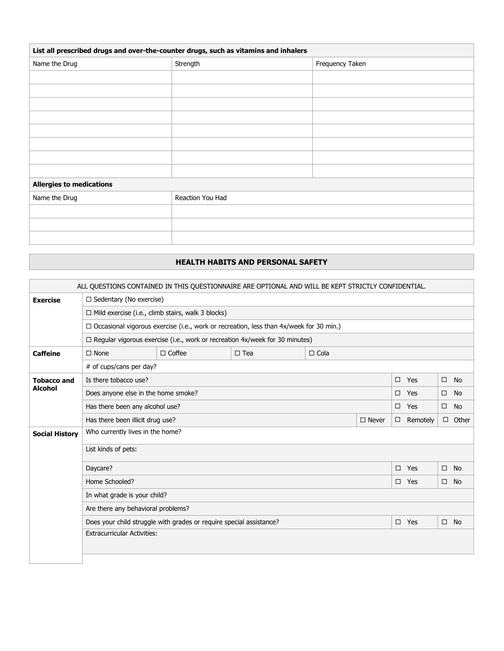| List all prescribed drugs and over-the-counter drugs, such as vitamins and inhalers |                  |                 |  |  |  |
|-------------------------------------------------------------------------------------|------------------|-----------------|--|--|--|
| Name the Drug                                                                       | Strength         | Frequency Taken |  |  |  |
|                                                                                     |                  |                 |  |  |  |
|                                                                                     |                  |                 |  |  |  |
|                                                                                     |                  |                 |  |  |  |
|                                                                                     |                  |                 |  |  |  |
|                                                                                     |                  |                 |  |  |  |
|                                                                                     |                  |                 |  |  |  |
|                                                                                     |                  |                 |  |  |  |
|                                                                                     |                  |                 |  |  |  |
| <b>Allergies to medications</b>                                                     |                  |                 |  |  |  |
| Name the Drug                                                                       | Reaction You Had |                 |  |  |  |
|                                                                                     |                  |                 |  |  |  |
|                                                                                     |                  |                 |  |  |  |
|                                                                                     |                  |                 |  |  |  |

### **HEALTH HABITS AND PERSONAL SAFETY**

| ALL QUESTIONS CONTAINED IN THIS QUESTIONNAIRE ARE OPTIONAL AND WILL BE KEPT STRICTLY CONFIDENTIAL. |                                                                                               |               |               |             |              |  |                 |        |              |
|----------------------------------------------------------------------------------------------------|-----------------------------------------------------------------------------------------------|---------------|---------------|-------------|--------------|--|-----------------|--------|--------------|
| <b>Exercise</b>                                                                                    | $\Box$ Sedentary (No exercise)                                                                |               |               |             |              |  |                 |        |              |
|                                                                                                    | $\Box$ Mild exercise (i.e., climb stairs, walk 3 blocks)                                      |               |               |             |              |  |                 |        |              |
|                                                                                                    | $\Box$ Occasional vigorous exercise (i.e., work or recreation, less than 4x/week for 30 min.) |               |               |             |              |  |                 |        |              |
|                                                                                                    | $\Box$ Regular vigorous exercise (i.e., work or recreation 4x/week for 30 minutes)            |               |               |             |              |  |                 |        |              |
| <b>Caffeine</b>                                                                                    | $\Box$ None                                                                                   | $\Box$ Coffee | $\square$ Tea | $\Box$ Cola |              |  |                 |        |              |
|                                                                                                    | # of cups/cans per day?                                                                       |               |               |             |              |  |                 |        |              |
| <b>Tobacco and</b>                                                                                 | Is there tobacco use?                                                                         |               |               |             |              |  | $\Box$ Yes      | $\Box$ | <b>No</b>    |
| <b>Alcohol</b>                                                                                     | Does anyone else in the home smoke?                                                           |               |               |             |              |  | $\Box$ Yes      | □      | <b>No</b>    |
|                                                                                                    | Has there been any alcohol use?                                                               |               |               |             |              |  | $\Box$ Yes      | $\Box$ | <b>No</b>    |
|                                                                                                    | Has there been illicit drug use?                                                              |               |               |             | $\Box$ Never |  | $\Box$ Remotely |        | $\Box$ Other |
| <b>Social History</b>                                                                              | Who currently lives in the home?                                                              |               |               |             |              |  |                 |        |              |
|                                                                                                    | List kinds of pets:                                                                           |               |               |             |              |  |                 |        |              |
|                                                                                                    | Daycare?<br>$\Box$ Yes<br>□<br>No                                                             |               |               |             |              |  |                 |        |              |
|                                                                                                    | Home Schooled?                                                                                |               |               |             |              |  | $\Box$ Yes      | □      | No.          |
|                                                                                                    | In what grade is your child?                                                                  |               |               |             |              |  |                 |        |              |
|                                                                                                    | Are there any behavioral problems?                                                            |               |               |             |              |  |                 |        |              |
|                                                                                                    | Does your child struggle with grades or require special assistance?                           |               |               |             |              |  | $\square$ Yes   | $\Box$ | <b>No</b>    |
|                                                                                                    | <b>Extracurricular Activities:</b>                                                            |               |               |             |              |  |                 |        |              |
|                                                                                                    |                                                                                               |               |               |             |              |  |                 |        |              |
|                                                                                                    |                                                                                               |               |               |             |              |  |                 |        |              |